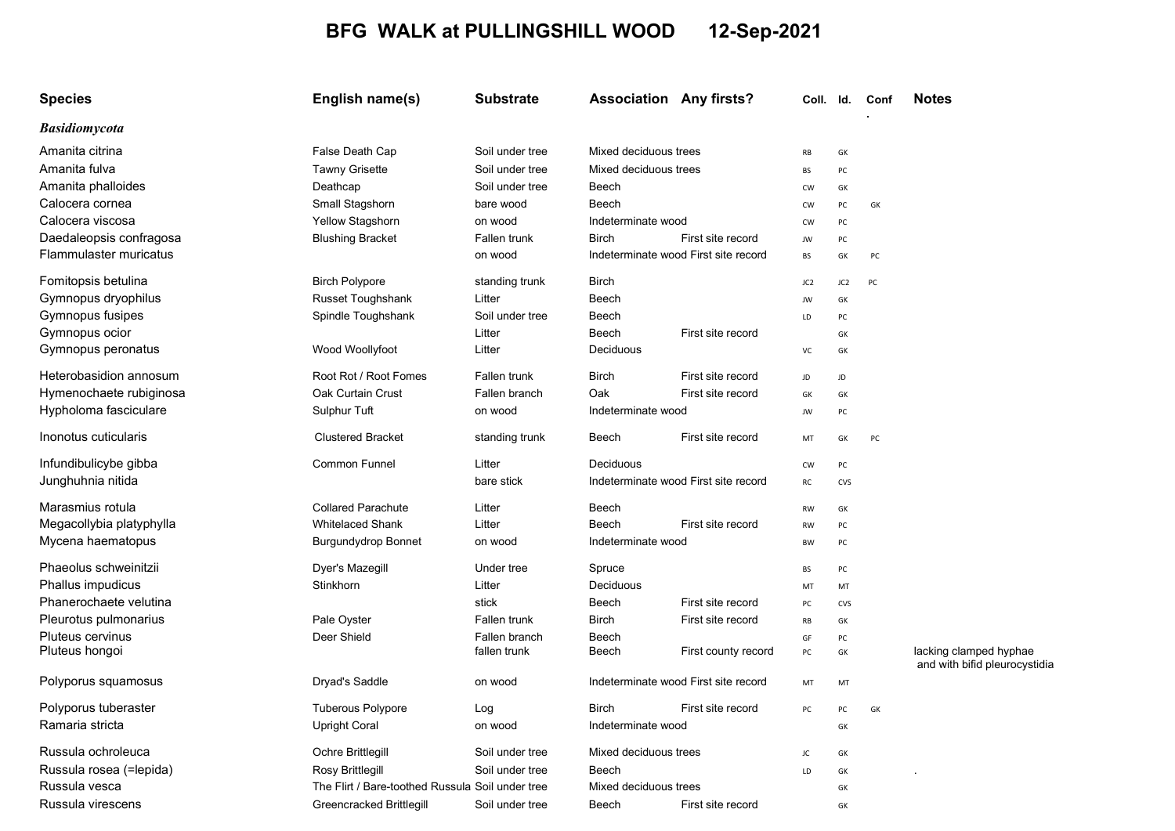## BFG WALK at PULLINGSHILL WOOD 12-Sep-2021

| <b>Species</b>           | English name(s)                                  | <b>Substrate</b> | <b>Association Any firsts?</b> |                                      | Coll.           | ld. | Conf | <b>Notes</b>                                            |
|--------------------------|--------------------------------------------------|------------------|--------------------------------|--------------------------------------|-----------------|-----|------|---------------------------------------------------------|
| <b>Basidiomycota</b>     |                                                  |                  |                                |                                      |                 |     |      |                                                         |
| Amanita citrina          | False Death Cap                                  | Soil under tree  | Mixed deciduous trees          |                                      | RB              | GK  |      |                                                         |
| Amanita fulva            | <b>Tawny Grisette</b>                            | Soil under tree  | Mixed deciduous trees          |                                      | BS              | PC  |      |                                                         |
| Amanita phalloides       | Deathcap                                         | Soil under tree  | Beech                          |                                      | <b>CW</b>       | GK  |      |                                                         |
| Calocera cornea          | Small Stagshorn                                  | bare wood        | Beech                          |                                      | CW              | PC  | GK   |                                                         |
| Calocera viscosa         | Yellow Stagshorn                                 | on wood          | Indeterminate wood             |                                      | <b>CW</b>       | PC  |      |                                                         |
| Daedaleopsis confragosa  | <b>Blushing Bracket</b>                          | Fallen trunk     | <b>Birch</b>                   | First site record                    | JW              | PC  |      |                                                         |
| Flammulaster muricatus   |                                                  | on wood          |                                | Indeterminate wood First site record | BS              | GK  | PC   |                                                         |
| Fomitopsis betulina      | <b>Birch Polypore</b>                            | standing trunk   | Birch                          |                                      | JC <sub>2</sub> | JC2 | PC   |                                                         |
| Gymnopus dryophilus      | Russet Toughshank                                | Litter           | Beech                          |                                      | JW              | GK  |      |                                                         |
| Gymnopus fusipes         | Spindle Toughshank                               | Soil under tree  | Beech                          |                                      | LD              | PC  |      |                                                         |
| Gymnopus ocior           |                                                  | Litter           | Beech                          | First site record                    |                 | GK  |      |                                                         |
| Gymnopus peronatus       | Wood Woollyfoot                                  | Litter           | Deciduous                      |                                      | VC              | GK  |      |                                                         |
| Heterobasidion annosum   | Root Rot / Root Fomes                            | Fallen trunk     | <b>Birch</b>                   | First site record                    | JD              | JD  |      |                                                         |
| Hymenochaete rubiginosa  | Oak Curtain Crust                                | Fallen branch    | Oak                            | First site record                    | GK              | GK  |      |                                                         |
| Hypholoma fasciculare    | Sulphur Tuft                                     | on wood          | Indeterminate wood             |                                      | JW              | PC  |      |                                                         |
| Inonotus cuticularis     | <b>Clustered Bracket</b>                         | standing trunk   | Beech                          | First site record                    | MT              | GK  | PC   |                                                         |
| Infundibulicybe gibba    | <b>Common Funnel</b>                             | Litter           | Deciduous                      |                                      | <b>CW</b>       | PC  |      |                                                         |
| Junghuhnia nitida        |                                                  | bare stick       |                                | Indeterminate wood First site record | RC              | CVS |      |                                                         |
| Marasmius rotula         | <b>Collared Parachute</b>                        | Litter           | Beech                          |                                      | RW              | GK  |      |                                                         |
| Megacollybia platyphylla | <b>Whitelaced Shank</b>                          | Litter           | Beech                          | First site record                    | <b>RW</b>       | PC  |      |                                                         |
| Mycena haematopus        | <b>Burgundydrop Bonnet</b>                       | on wood          | Indeterminate wood             |                                      | BW              | PC  |      |                                                         |
| Phaeolus schweinitzii    | Dyer's Mazegill                                  | Under tree       | Spruce                         |                                      | BS              | PC  |      |                                                         |
| Phallus impudicus        | <b>Stinkhorn</b>                                 | Litter           | Deciduous                      |                                      | MT              | MT  |      |                                                         |
| Phanerochaete velutina   |                                                  | stick            | Beech                          | First site record                    | PC              | CVS |      |                                                         |
| Pleurotus pulmonarius    | Pale Oyster                                      | Fallen trunk     | Birch                          | First site record                    | RB              | GK  |      |                                                         |
| Pluteus cervinus         | Deer Shield                                      | Fallen branch    | Beech                          |                                      | GF              | PC  |      |                                                         |
| Pluteus hongoi           |                                                  | fallen trunk     | Beech                          | First county record                  | PC              | GK  |      | lacking clamped hyphae<br>and with bifid pleurocystidia |
| Polyporus squamosus      | Dryad's Saddle                                   | on wood          |                                | Indeterminate wood First site record | MT              | MT  |      |                                                         |
| Polyporus tuberaster     | Tuberous Polypore                                | Log              | <b>Birch</b>                   | First site record                    | PC              | PC  | GK   |                                                         |
| Ramaria stricta          | <b>Upright Coral</b>                             | on wood          | Indeterminate wood             |                                      |                 | GK  |      |                                                         |
| Russula ochroleuca       | Ochre Brittlegill                                | Soil under tree  | Mixed deciduous trees          |                                      | JC              | GK  |      |                                                         |
| Russula rosea (=lepida)  | Rosy Brittlegill                                 | Soil under tree  | Beech                          |                                      | LD              | GK  |      |                                                         |
| Russula vesca            | The Flirt / Bare-toothed Russula Soil under tree |                  | Mixed deciduous trees          |                                      |                 | GK  |      |                                                         |
| Russula virescens        | Greencracked Brittlegill                         | Soil under tree  | Beech                          | First site record                    |                 | GK  |      |                                                         |